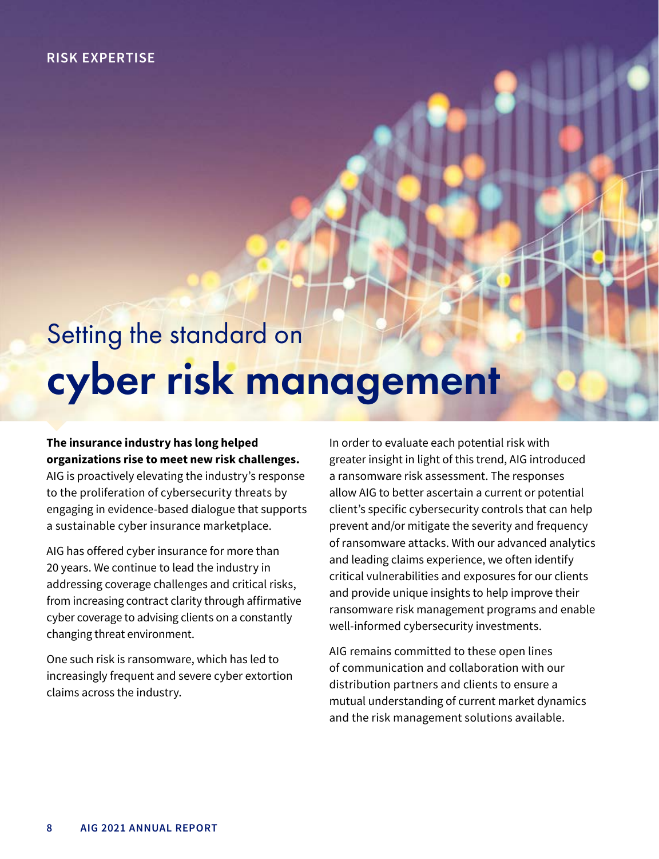## **RISK EXPERTISE**

## Setting the standard on cyber risk management

## **The insurance industry has long helped organizations rise to meet new risk challenges.**

AIG is proactively elevating the industry's response to the proliferation of cybersecurity threats by engaging in evidence-based dialogue that supports a sustainable cyber insurance marketplace.

AIG has offered cyber insurance for more than 20 years. We continue to lead the industry in addressing coverage challenges and critical risks, from increasing contract clarity through affirmative cyber coverage to advising clients on a constantly changing threat environment.

One such risk is ransomware, which has led to increasingly frequent and severe cyber extortion claims across the industry.

In order to evaluate each potential risk with greater insight in light of this trend, AIG introduced a ransomware risk assessment. The responses allow AIG to better ascertain a current or potential client's specific cybersecurity controls that can help prevent and/or mitigate the severity and frequency of ransomware attacks. With our advanced analytics and leading claims experience, we often identify critical vulnerabilities and exposures for our clients and provide unique insights to help improve their ransomware risk management programs and enable well-informed cybersecurity investments.

AIG remains committed to these open lines of communication and collaboration with our distribution partners and clients to ensure a mutual understanding of current market dynamics and the risk management solutions available.